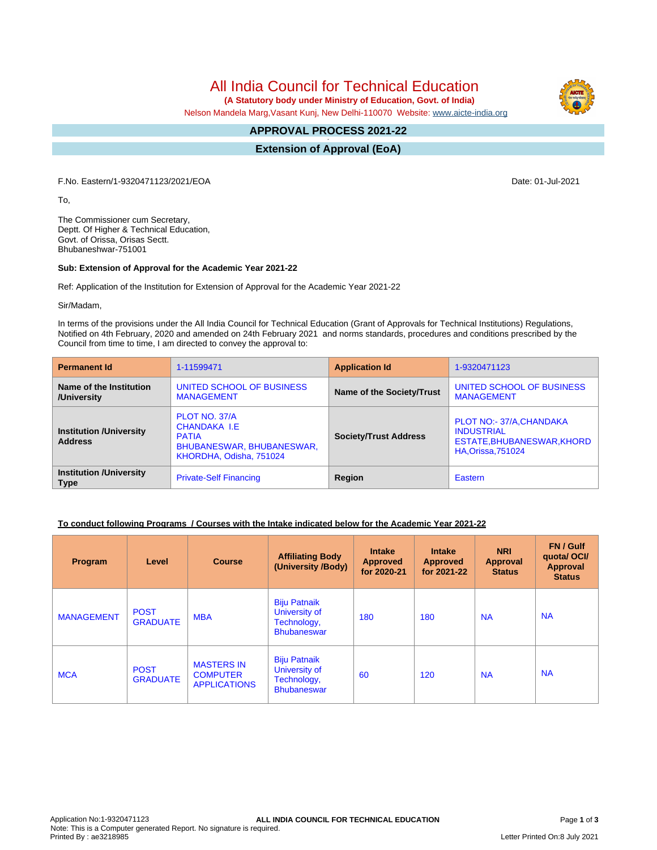All India Council for Technical Education

 **(A Statutory body under Ministry of Education, Govt. of India)**

Nelson Mandela Marg,Vasant Kunj, New Delhi-110070 Website: [www.aicte-india.org](http://www.aicte-india.org)

#### **APPROVAL PROCESS 2021-22 -**

**Extension of Approval (EoA)**

F.No. Eastern/1-9320471123/2021/EOA Date: 01-Jul-2021

To,

The Commissioner cum Secretary, Deptt. Of Higher & Technical Education, Govt. of Orissa, Orisas Sectt. Bhubaneshwar-751001

#### **Sub: Extension of Approval for the Academic Year 2021-22**

Ref: Application of the Institution for Extension of Approval for the Academic Year 2021-22

Sir/Madam,

In terms of the provisions under the All India Council for Technical Education (Grant of Approvals for Technical Institutions) Regulations, Notified on 4th February, 2020 and amended on 24th February 2021 and norms standards, procedures and conditions prescribed by the Council from time to time, I am directed to convey the approval to:

| <b>Permanent Id</b>                              | 1-11599471                                                                                            | <b>Application Id</b>        | 1-9320471123                                                                                             |  |
|--------------------------------------------------|-------------------------------------------------------------------------------------------------------|------------------------------|----------------------------------------------------------------------------------------------------------|--|
| Name of the Institution<br>/University           | UNITED SCHOOL OF BUSINESS<br><b>MANAGEMENT</b>                                                        | Name of the Society/Trust    | UNITED SCHOOL OF BUSINESS<br><b>MANAGEMENT</b>                                                           |  |
| <b>Institution /University</b><br><b>Address</b> | PLOT NO. 37/A<br>CHANDAKA I.E<br><b>PATIA</b><br>BHUBANESWAR, BHUBANESWAR,<br>KHORDHA, Odisha, 751024 | <b>Society/Trust Address</b> | PLOT NO:- 37/A, CHANDAKA<br><b>INDUSTRIAL</b><br>ESTATE, BHUBANESWAR, KHORD<br><b>HA, Orissa, 751024</b> |  |
| <b>Institution /University</b><br><b>Type</b>    | <b>Private-Self Financing</b>                                                                         | Region                       | Eastern                                                                                                  |  |

## **To conduct following Programs / Courses with the Intake indicated below for the Academic Year 2021-22**

| Program           | Level                          | <b>Course</b>                                               | <b>Affiliating Body</b><br>(University /Body)                             | <b>Intake</b><br><b>Approved</b><br>for 2020-21 | <b>Intake</b><br><b>Approved</b><br>for 2021-22 | <b>NRI</b><br>Approval<br><b>Status</b> | FN / Gulf<br>quotal OCI/<br><b>Approval</b><br><b>Status</b> |
|-------------------|--------------------------------|-------------------------------------------------------------|---------------------------------------------------------------------------|-------------------------------------------------|-------------------------------------------------|-----------------------------------------|--------------------------------------------------------------|
| <b>MANAGEMENT</b> | <b>POST</b><br><b>GRADUATE</b> | <b>MBA</b>                                                  | <b>Biju Patnaik</b><br>University of<br>Technology,<br><b>Bhubaneswar</b> | 180                                             | 180                                             | <b>NA</b>                               | <b>NA</b>                                                    |
| <b>MCA</b>        | <b>POST</b><br><b>GRADUATE</b> | <b>MASTERS IN</b><br><b>COMPUTER</b><br><b>APPLICATIONS</b> | <b>Biju Patnaik</b><br>University of<br>Technology,<br><b>Bhubaneswar</b> | 60                                              | 120                                             | <b>NA</b>                               | <b>NA</b>                                                    |

Letter Printed On:8 July 2021

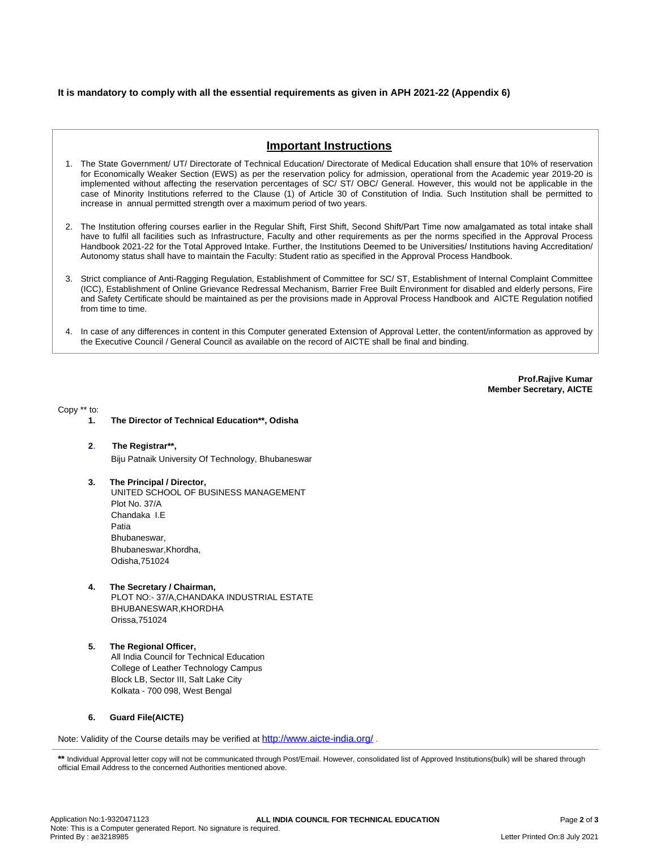### **It is mandatory to comply with all the essential requirements as given in APH 2021-22 (Appendix 6)**

# **Important Instructions**

- 1. The State Government/ UT/ Directorate of Technical Education/ Directorate of Medical Education shall ensure that 10% of reservation for Economically Weaker Section (EWS) as per the reservation policy for admission, operational from the Academic year 2019-20 is implemented without affecting the reservation percentages of SC/ ST/ OBC/ General. However, this would not be applicable in the case of Minority Institutions referred to the Clause (1) of Article 30 of Constitution of India. Such Institution shall be permitted to increase in annual permitted strength over a maximum period of two years.
- 2. The Institution offering courses earlier in the Regular Shift, First Shift, Second Shift/Part Time now amalgamated as total intake shall have to fulfil all facilities such as Infrastructure, Faculty and other requirements as per the norms specified in the Approval Process Handbook 2021-22 for the Total Approved Intake. Further, the Institutions Deemed to be Universities/ Institutions having Accreditation/ Autonomy status shall have to maintain the Faculty: Student ratio as specified in the Approval Process Handbook.
- 3. Strict compliance of Anti-Ragging Regulation, Establishment of Committee for SC/ ST, Establishment of Internal Complaint Committee (ICC), Establishment of Online Grievance Redressal Mechanism, Barrier Free Built Environment for disabled and elderly persons, Fire and Safety Certificate should be maintained as per the provisions made in Approval Process Handbook and AICTE Regulation notified from time to time.
- 4. In case of any differences in content in this Computer generated Extension of Approval Letter, the content/information as approved by the Executive Council / General Council as available on the record of AICTE shall be final and binding.

**Prof.Rajive Kumar Member Secretary, AICTE**

Copy \*\* to:

- **1. The Director of Technical Education\*\*, Odisha**
- **2**. **The Registrar\*\*,** Biju Patnaik University Of Technology, Bhubaneswar
- **3. The Principal / Director,** UNITED SCHOOL OF BUSINESS MANAGEMENT Plot No. 37/A Chandaka I.E Patia Bhubaneswar, Bhubaneswar,Khordha, Odisha,751024
- **4. The Secretary / Chairman,** PLOT NO:- 37/A,CHANDAKA INDUSTRIAL ESTATE BHUBANESWAR,KHORDHA Orissa,751024
- **5. The Regional Officer,** All India Council for Technical Education College of Leather Technology Campus Block LB, Sector III, Salt Lake City Kolkata - 700 098, West Bengal

#### **6. Guard File(AICTE)**

Note: Validity of the Course details may be verified at **<http://www.aicte-india.org/>**.

\*\* Individual Approval letter copy will not be communicated through Post/Email. However, consolidated list of Approved Institutions(bulk) will be shared through official Email Address to the concerned Authorities mentioned above.